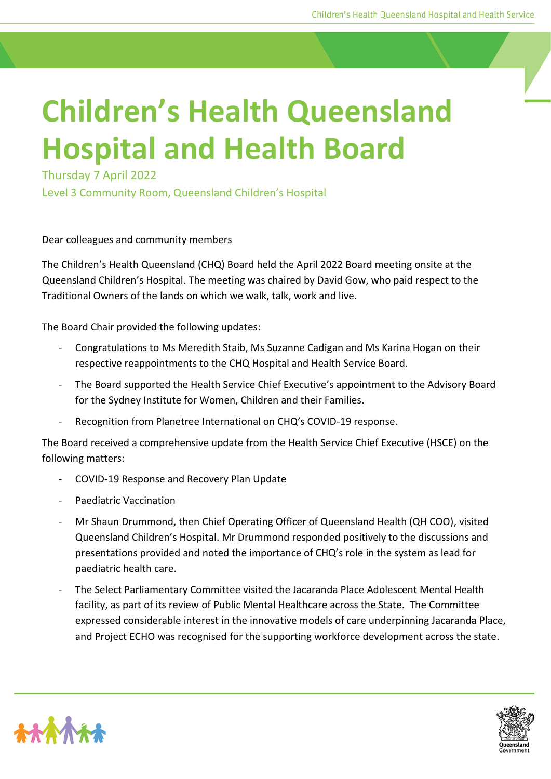## **Children's Health Queensland Hospital and Health Board**

Thursday 7 April 2022

Level 3 Community Room, Queensland Children's Hospital

## Dear colleagues and community members

The Children's Health Queensland (CHQ) Board held the April 2022 Board meeting onsite at the Queensland Children's Hospital. The meeting was chaired by David Gow, who paid respect to the Traditional Owners of the lands on which we walk, talk, work and live.

The Board Chair provided the following updates:

- Congratulations to Ms Meredith Staib, Ms Suzanne Cadigan and Ms Karina Hogan on their respective reappointments to the CHQ Hospital and Health Service Board.
- The Board supported the Health Service Chief Executive's appointment to the Advisory Board for the Sydney Institute for Women, Children and their Families.
- Recognition from Planetree International on CHQ's COVID-19 response.

The Board received a comprehensive update from the Health Service Chief Executive (HSCE) on the following matters:

- COVID-19 Response and Recovery Plan Update
- Paediatric Vaccination
- Mr Shaun Drummond, then Chief Operating Officer of Queensland Health (QH COO), visited Queensland Children's Hospital. Mr Drummond responded positively to the discussions and presentations provided and noted the importance of CHQ's role in the system as lead for paediatric health care.
- The Select Parliamentary Committee visited the Jacaranda Place Adolescent Mental Health facility, as part of its review of Public Mental Healthcare across the State. The Committee expressed considerable interest in the innovative models of care underpinning Jacaranda Place, and Project ECHO was recognised for the supporting workforce development across the state.